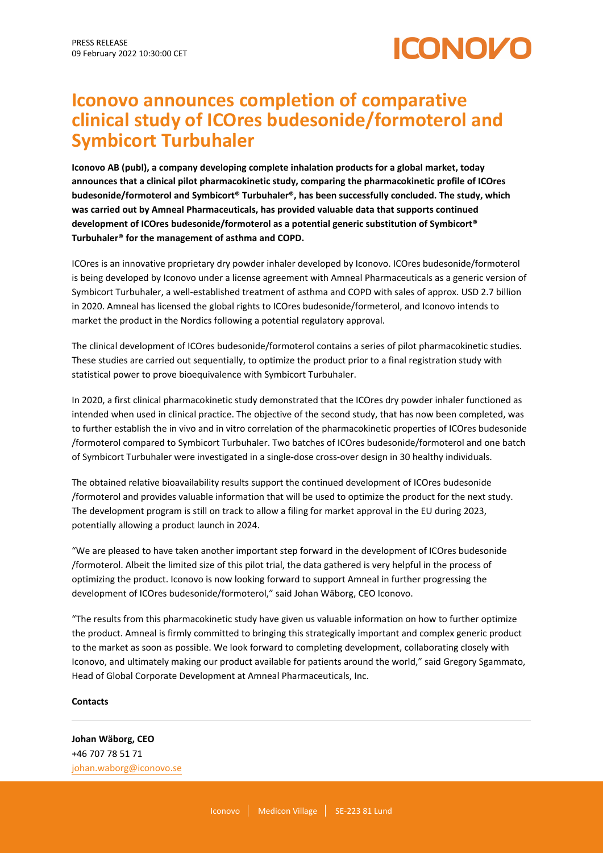

## **Iconovo announces completion of comparative clinical study of ICOres budesonide/formoterol and Symbicort Turbuhaler**

**Iconovo AB (publ), a company developing complete inhalation products for a global market, today announces that a clinical pilot pharmacokinetic study, comparing the pharmacokinetic profile of ICOres budesonide/formoterol and Symbicort® Turbuhaler®, has been successfully concluded. The study, which was carried out by Amneal Pharmaceuticals, has provided valuable data that supports continued development of ICOres budesonide/formoterol as a potential generic substitution of Symbicort® Turbuhaler® for the management of asthma and COPD.**

ICOres is an innovative proprietary dry powder inhaler developed by Iconovo. ICOres budesonide/formoterol is being developed by Iconovo under a license agreement with Amneal Pharmaceuticals as a generic version of Symbicort Turbuhaler, a well-established treatment of asthma and COPD with sales of approx. USD 2.7 billion in 2020. Amneal has licensed the global rights to ICOres budesonide/formeterol, and Iconovo intends to market the product in the Nordics following a potential regulatory approval.

The clinical development of ICOres budesonide/formoterol contains a series of pilot pharmacokinetic studies. These studies are carried out sequentially, to optimize the product prior to a final registration study with statistical power to prove bioequivalence with Symbicort Turbuhaler.

In 2020, a first clinical pharmacokinetic study demonstrated that the ICOres dry powder inhaler functioned as intended when used in clinical practice. The objective of the second study, that has now been completed, was to further establish the in vivo and in vitro correlation of the pharmacokinetic properties of ICOres budesonide /formoterol compared to Symbicort Turbuhaler. Two batches of ICOres budesonide/formoterol and one batch of Symbicort Turbuhaler were investigated in a single-dose cross-over design in 30 healthy individuals.

The obtained relative bioavailability results support the continued development of ICOres budesonide /formoterol and provides valuable information that will be used to optimize the product for the next study. The development program is still on track to allow a filing for market approval in the EU during 2023, potentially allowing a product launch in 2024.

"We are pleased to have taken another important step forward in the development of ICOres budesonide /formoterol. Albeit the limited size of this pilot trial, the data gathered is very helpful in the process of optimizing the product. Iconovo is now looking forward to support Amneal in further progressing the development of ICOres budesonide/formoterol," said Johan Wäborg, CEO Iconovo.

"The results from this pharmacokinetic study have given us valuable information on how to further optimize the product. Amneal is firmly committed to bringing this strategically important and complex generic product to the market as soon as possible. We look forward to completing development, collaborating closely with Iconovo, and ultimately making our product available for patients around the world," said Gregory Sgammato, Head of Global Corporate Development at Amneal Pharmaceuticals, Inc.

## **Contacts**

**Johan Wäborg, CEO** +46 707 78 51 71 [johan.waborg@iconovo.se](mailto:johan.waborg@iconovo.se)